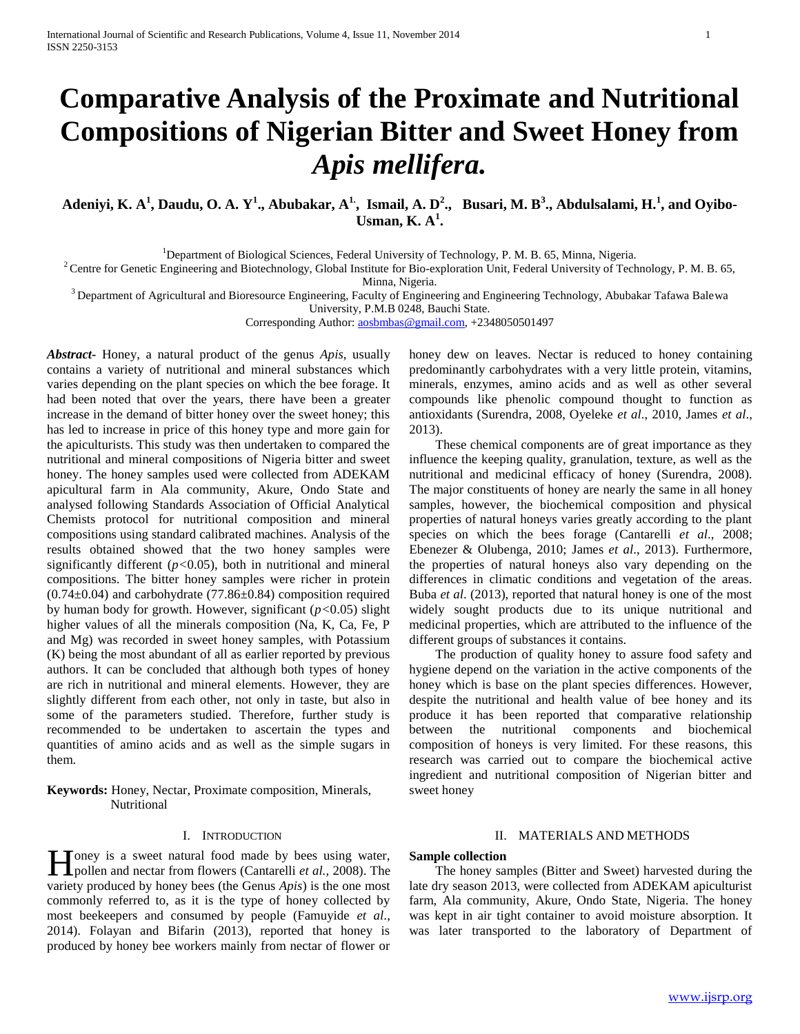# **Comparative Analysis of the Proximate and Nutritional Compositions of Nigerian Bitter and Sweet Honey from**  *Apis mellifera.*

Adeniyi, K. A<sup>1</sup>, Daudu, O. A. Y<sup>1</sup>., Abubakar, A<sup>1.</sup>, Ismail, A. D<sup>2</sup>., Busari, M. B<sup>3</sup>., Abdulsalami, H.<sup>1</sup>, and Oyibo-**Usman, K. A<sup>1</sup> .**

<sup>1</sup>Department of Biological Sciences, Federal University of Technology, P. M. B. 65, Minna, Nigeria.

<sup>2</sup> Centre for Genetic Engineering and Biotechnology, Global Institute for Bio-exploration Unit, Federal University of Technology, P. M. B. 65, Minna, Nigeria.

 $3$  Department of Agricultural and Bioresource Engineering, Faculty of Engineering and Engineering Technology, Abubakar Tafawa Balewa

University, P.M.B 0248, Bauchi State.

Corresponding Author: [aosbmbas@gmail.com,](mailto:aosbmbas@gmail.com) +2348050501497

*Abstract***-** Honey, a natural product of the genus *Apis,* usually contains a variety of nutritional and mineral substances which varies depending on the plant species on which the bee forage. It had been noted that over the years, there have been a greater increase in the demand of bitter honey over the sweet honey; this has led to increase in price of this honey type and more gain for the apiculturists. This study was then undertaken to compared the nutritional and mineral compositions of Nigeria bitter and sweet honey. The honey samples used were collected from ADEKAM apicultural farm in Ala community, Akure, Ondo State and analysed following Standards Association of Official Analytical Chemists protocol for nutritional composition and mineral compositions using standard calibrated machines. Analysis of the results obtained showed that the two honey samples were significantly different (*p<*0.05), both in nutritional and mineral compositions. The bitter honey samples were richer in protein (0.74±0.04) and carbohydrate (77.86±0.84) composition required by human body for growth. However, significant (*p<*0.05) slight higher values of all the minerals composition (Na, K, Ca, Fe, P and Mg) was recorded in sweet honey samples, with Potassium (K) being the most abundant of all as earlier reported by previous authors. It can be concluded that although both types of honey are rich in nutritional and mineral elements. However, they are slightly different from each other, not only in taste, but also in some of the parameters studied. Therefore, further study is recommended to be undertaken to ascertain the types and quantities of amino acids and as well as the simple sugars in them.

**Keywords:** Honey, Nectar, Proximate composition, Minerals, Nutritional

## I. INTRODUCTION

Toney is a sweet natural food made by bees using water, **H** oney is a sweet natural food made by bees using water, pollen and [nectar](http://en.wikipedia.org/wiki/Nectar_%28plant%29) from flowers (Cantarelli *et al.*, 2008). The variety produced by [honey bees](http://en.wikipedia.org/wiki/Honey_bee) (the [Genus](http://en.wikipedia.org/wiki/Genus) *Apis*) is the one most commonly referred to, as it is the type of honey collected by most [beekeepers](http://en.wikipedia.org/wiki/Beekeeper) and consumed by people (Famuyide *et al*., 2014). Folayan and Bifarin (2013), reported that honey is produced by honey bee workers mainly from nectar of flower or

honey dew on leaves. Nectar is reduced to honey containing predominantly carbohydrates with a very little protein, vitamins, minerals, enzymes, amino acids and as well as other several compounds like phenolic compound thought to function as antioxidants (Surendra, 2008, Oyeleke *et al*., 2010, James *et al*., 2013).

 These chemical components are of great importance as they influence the keeping quality, granulation, texture, as well as the nutritional and medicinal efficacy of honey (Surendra, 2008). The major constituents of honey are nearly the same in all honey samples, however, the biochemical composition and physical properties of natural honeys varies greatly according to the plant species on which the bees forage (Cantarelli *et al*., 2008; Ebenezer & Olubenga, 2010; James *et al*., 2013). Furthermore, the properties of natural honeys also vary depending on the differences in climatic conditions and vegetation of the areas. Buba *et al*. (2013), reported that natural honey is one of the most widely sought products due to its unique nutritional and medicinal properties, which are attributed to the influence of the different groups of substances it contains.

 The production of quality honey to assure food safety and hygiene depend on the variation in the active components of the honey which is base on the plant species differences. However, despite the nutritional and health value of bee honey and its produce it has been reported that comparative relationship between the nutritional components and biochemical composition of honeys is very limited. For these reasons, this research was carried out to compare the biochemical active ingredient and nutritional composition of Nigerian bitter and sweet honey

## II. MATERIALS AND METHODS

## **Sample collection**

 The honey samples (Bitter and Sweet) harvested during the late dry season 2013, were collected from ADEKAM apiculturist farm, Ala community, Akure, Ondo State, Nigeria. The honey was kept in air tight container to avoid moisture absorption. It was later transported to the laboratory of Department of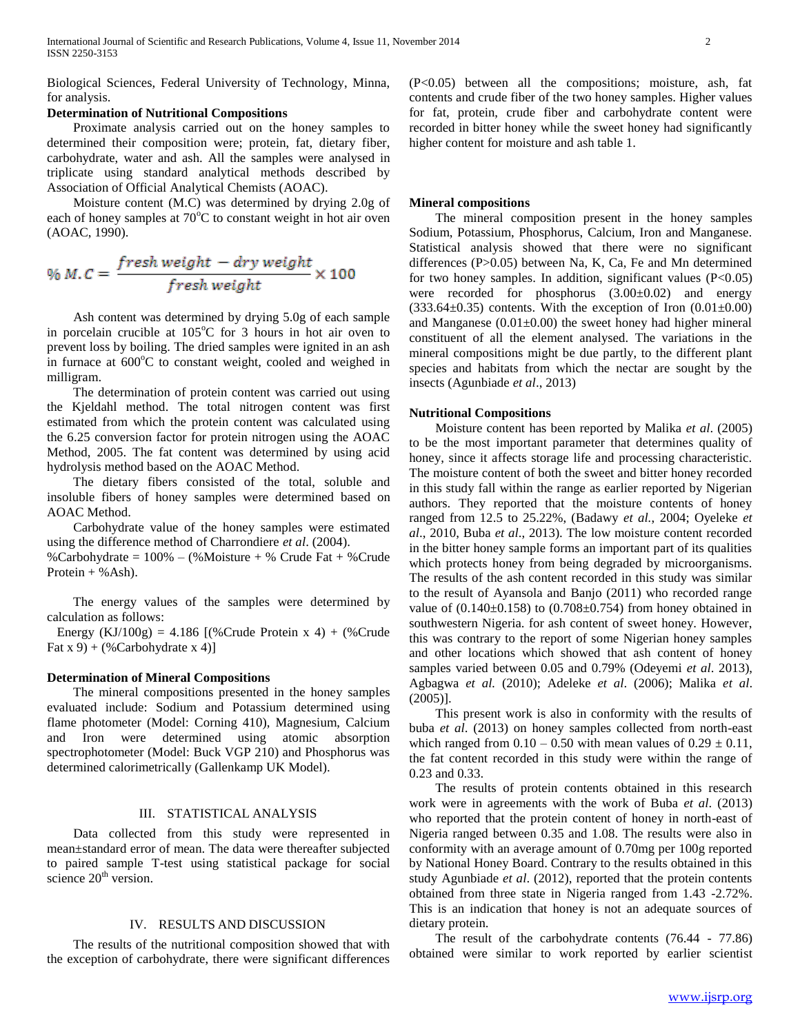Biological Sciences, Federal University of Technology, Minna, for analysis.

## **Determination of Nutritional Compositions**

 Proximate analysis carried out on the honey samples to determined their composition were; protein, fat, dietary fiber, carbohydrate, water and ash. All the samples were analysed in triplicate using standard analytical methods described by Association of Official Analytical Chemists (AOAC).

 Moisture content (M.C) was determined by drying 2.0g of each of honey samples at  $70^{\circ}$ C to constant weight in hot air oven (AOAC, 1990).

$$
\% M.C = \frac{fresh weight - dry weight}{fresh weight} \times 100
$$

 Ash content was determined by drying 5.0g of each sample in porcelain crucible at  $105^{\circ}$ C for 3 hours in hot air oven to prevent loss by boiling. The dried samples were ignited in an ash in furnace at  $600^{\circ}$ C to constant weight, cooled and weighed in milligram.

 The determination of protein content was carried out using the Kjeldahl method. The total nitrogen content was first estimated from which the protein content was calculated using the 6.25 conversion factor for protein nitrogen using the AOAC Method, 2005. The fat content was determined by using acid hydrolysis method based on the AOAC Method.

 The dietary fibers consisted of the total, soluble and insoluble fibers of honey samples were determined based on AOAC Method.

 Carbohydrate value of the honey samples were estimated using the difference method of Charrondiere *et al*. (2004).

%Carbohydrate = 100% – (%Moisture + % Crude Fat + %Crude Protein  $+$  % Ash).

 The energy values of the samples were determined by calculation as follows:

Energy (KJ/100g) = 4.186 [(%Crude Protein x 4) + (%Crude Fat  $x 9$  + (%Carbohydrate  $x 4$ )]

#### **Determination of Mineral Compositions**

 The mineral compositions presented in the honey samples evaluated include: Sodium and Potassium determined using flame photometer (Model: Corning 410), Magnesium, Calcium and Iron were determined using atomic absorption spectrophotometer (Model: Buck VGP 210) and Phosphorus was determined calorimetrically (Gallenkamp UK Model).

## III. STATISTICAL ANALYSIS

 Data collected from this study were represented in mean±standard error of mean. The data were thereafter subjected to paired sample T-test using statistical package for social science  $20<sup>th</sup>$  version.

## IV. RESULTS AND DISCUSSION

 The results of the nutritional composition showed that with the exception of carbohydrate, there were significant differences (P<0.05) between all the compositions; moisture, ash, fat contents and crude fiber of the two honey samples. Higher values for fat, protein, crude fiber and carbohydrate content were recorded in bitter honey while the sweet honey had significantly higher content for moisture and ash table 1.

#### **Mineral compositions**

 The mineral composition present in the honey samples Sodium, Potassium, Phosphorus, Calcium, Iron and Manganese. Statistical analysis showed that there were no significant differences (P>0.05) between Na, K, Ca, Fe and Mn determined for two honey samples. In addition, significant values  $(P<0.05)$ were recorded for phosphorus (3.00±0.02) and energy  $(333.64\pm0.35)$  contents. With the exception of Iron  $(0.01\pm0.00)$ and Manganese  $(0.01\pm0.00)$  the sweet honey had higher mineral constituent of all the element analysed. The variations in the mineral compositions might be due partly, to the different plant species and habitats from which the nectar are sought by the insects (Agunbiade *et al*., 2013)

#### **Nutritional Compositions**

 Moisture content has been reported by Malika *et al*. (2005) to be the most important parameter that determines quality of honey, since it affects storage life and processing characteristic. The moisture content of both the sweet and bitter honey recorded in this study fall within the range as earlier reported by Nigerian authors. They reported that the moisture contents of honey ranged from 12.5 to 25.22%, (Badawy *et al.*, 2004; Oyeleke *et al*., 2010, Buba *et al*., 2013). The low moisture content recorded in the bitter honey sample forms an important part of its qualities which protects honey from being degraded by microorganisms. The results of the ash content recorded in this study was similar to the result of Ayansola and Banjo (2011) who recorded range value of  $(0.140\pm0.158)$  to  $(0.708\pm0.754)$  from honey obtained in southwestern Nigeria. for ash content of sweet honey. However, this was contrary to the report of some Nigerian honey samples and other locations which showed that ash content of honey samples varied between 0.05 and 0.79% (Odeyemi *et al*. 2013), Agbagwa *et al.* (2010); Adeleke *et al*. (2006); Malika *et al*. (2005)].

 This present work is also in conformity with the results of buba *et al*. (2013) on honey samples collected from north-east which ranged from  $0.10 - 0.50$  with mean values of  $0.29 \pm 0.11$ , the fat content recorded in this study were within the range of 0.23 and 0.33.

 The results of protein contents obtained in this research work were in agreements with the work of Buba *et al*. (2013) who reported that the protein content of honey in north-east of Nigeria ranged between 0.35 and 1.08. The results were also in conformity with an average amount of 0.70mg per 100g reported by National Honey Board. Contrary to the results obtained in this study Agunbiade *et al*. (2012), reported that the protein contents obtained from three state in Nigeria ranged from 1.43 -2.72%. This is an indication that honey is not an adequate sources of dietary protein.

 The result of the carbohydrate contents (76.44 - 77.86) obtained were similar to work reported by earlier scientist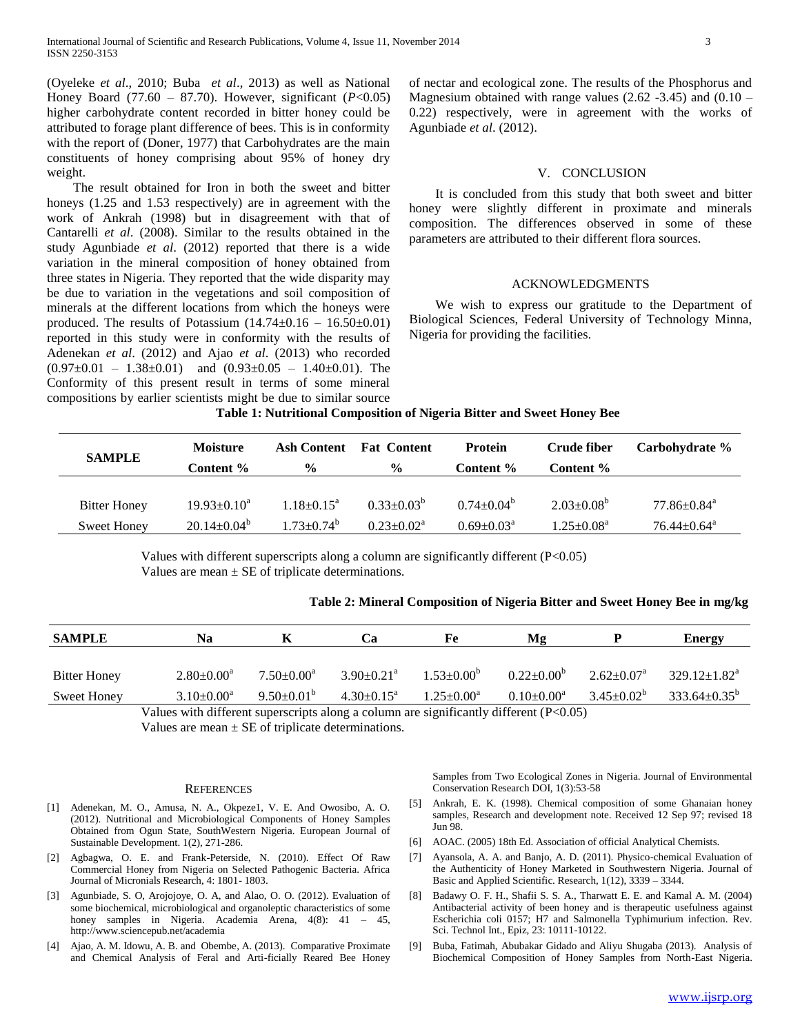(Oyeleke *et al*., 2010; Buba *et al*., 2013) as well as National Honey Board (77.60 – 87.70). However, significant (*P*<0.05) higher carbohydrate content recorded in bitter honey could be attributed to forage plant difference of bees. This is in conformity with the report of (Doner, 1977) that Carbohydrates are the main constituents of honey comprising about 95% of honey dry weight.

 The result obtained for Iron in both the sweet and bitter honeys  $(1.25 \text{ and } 1.53 \text{ respectively})$  are in agreement with the work of Ankrah (1998) but in disagreement with that of Cantarelli *et al*. (2008). Similar to the results obtained in the study Agunbiade *et al*. (2012) reported that there is a wide variation in the mineral composition of honey obtained from three states in Nigeria. They reported that the wide disparity may be due to variation in the vegetations and soil composition of minerals at the different locations from which the honeys were produced. The results of Potassium  $(14.74\pm0.16 - 16.50\pm0.01)$ reported in this study were in conformity with the results of Adenekan *et al*. (2012) and Ajao *et al*. (2013) who recorded  $(0.97\pm0.01 - 1.38\pm0.01)$  and  $(0.93\pm0.05 - 1.40\pm0.01)$ . The Conformity of this present result in terms of some mineral compositions by earlier scientists might be due to similar source of nectar and ecological zone. The results of the Phosphorus and Magnesium obtained with range values  $(2.62 -3.45)$  and  $(0.10 -$ 0.22) respectively, were in agreement with the works of Agunbiade *et al*. (2012).

#### V. CONCLUSION

 It is concluded from this study that both sweet and bitter honey were slightly different in proximate and minerals composition. The differences observed in some of these parameters are attributed to their different flora sources.

### ACKNOWLEDGMENTS

 We wish to express our gratitude to the Department of Biological Sciences, Federal University of Technology Minna, Nigeria for providing the facilities.

#### **Table 1: Nutritional Composition of Nigeria Bitter and Sweet Honey Bee**

| <b>SAMPLE</b>       | <b>Moisture</b><br>Content % | <b>Ash Content</b><br>$\frac{6}{9}$ | <b>Fat Content</b><br>$\frac{6}{9}$ | <b>Protein</b><br>Content % | Crude fiber<br>Content %   | Carbohydrate %                 |
|---------------------|------------------------------|-------------------------------------|-------------------------------------|-----------------------------|----------------------------|--------------------------------|
| <b>Bitter Honey</b> | $19.93 \pm 0.10^4$           | $1.18 \pm 0.15^{\text{a}}$          | $0.33 \pm 0.03^b$                   | $0.74 \pm 0.04^b$           | $2.03 \pm 0.08^b$          | $77.86{\scriptstyle\pm0.84^a}$ |
| <b>Sweet Honey</b>  | $20.14 \pm 0.04^{\circ}$     | $1.73 + 0.74^{\circ}$               | $0.23+0.02^a$                       | $0.69 \pm 0.03^{\circ}$     | $1.25 \pm 0.08^{\text{a}}$ | $76.44 \pm 0.64$ <sup>a</sup>  |

Values with different superscripts along a column are significantly different (P<0.05) Values are mean  $\pm$  SE of triplicate determinations.

## **Table 2: Mineral Composition of Nigeria Bitter and Sweet Honey Bee in mg/kg**

| <b>SAMPLE</b>       | Na                |                         | Ċа                           | Fe                | Mg                      |                         | <b>Energy</b>                |
|---------------------|-------------------|-------------------------|------------------------------|-------------------|-------------------------|-------------------------|------------------------------|
|                     |                   |                         |                              |                   |                         |                         |                              |
| <b>Bitter Honey</b> | $2.80 \pm 0.00^4$ | $7.50 \pm 0.00^a$       | $3.90 \pm 0.21$ <sup>a</sup> | $1.53 \pm 0.00^b$ | $0.22 \pm 0.00^{\circ}$ | $2.62+0.07^a$           | $329.12 \pm 1.82^{\text{a}}$ |
| Sweet Honey         | $3.10\pm0.00^4$   | $9.50 \pm 0.01^{\circ}$ | $4.30 \pm 0.15^{\circ}$      | $1.25 \pm 0.00^a$ | $0.10 \pm 0.00^{\circ}$ | $3.45 \pm 0.02^{\circ}$ | $333.64 \pm 0.35^{\circ}$    |

Values with different superscripts along a column are significantly different (P<0.05) Values are mean  $\pm$  SE of triplicate determinations.

#### **REFERENCES**

- [1] Adenekan, M. O., Amusa, N. A., Okpeze1, V. E. And Owosibo, A. O. (2012). Nutritional and Microbiological Components of Honey Samples Obtained from Ogun State, SouthWestern Nigeria. European Journal of Sustainable Development. 1(2), 271-286.
- [2] Agbagwa, O. E. and Frank-Peterside, N. (2010). Effect Of Raw Commercial Honey from Nigeria on Selected Pathogenic Bacteria. Africa Journal of Micronials Research, 4: 1801- 1803.
- [3] Agunbiade, S. O, Arojojoye, O. A, and Alao, O. O. (2012). Evaluation of some biochemical, microbiological and organoleptic characteristics of some honey samples in Nigeria. Academia Arena, 4(8): 41 – 45, http://www.sciencepub.net/academia
- Ajao, A. M. Idowu, A. B. and Obembe, A. (2013). Comparative Proximate and Chemical Analysis of Feral and Arti-ficially Reared Bee Honey

Samples from Two Ecological Zones in Nigeria. Journal of Environmental Conservation Research DOI, 1(3):53-58

- [5] Ankrah, E. K. (1998). Chemical composition of some Ghanaian honey samples, Research and development note. Received 12 Sep 97; revised 18 Jun 98.
- [6] AOAC. (2005) 18th Ed. Association of official Analytical Chemists.
- [7] Ayansola, A. A. and Banjo, A. D. (2011). Physico-chemical Evaluation of the Authenticity of Honey Marketed in Southwestern Nigeria. Journal of Basic and Applied Scientific. Research, 1(12), 3339 – 3344.
- [8] Badawy O. F. H., Shafii S. S. A., Tharwatt E. E. and Kamal A. M. (2004) Antibacterial activity of been honey and is therapeutic usefulness against Escherichia coli 0157; H7 and Salmonella Typhimurium infection. Rev. Sci. Technol Int., Epiz, 23: 10111-10122.
- [9] Buba, Fatimah, Abubakar Gidado and Aliyu Shugaba (2013). Analysis of Biochemical Composition of Honey Samples from North-East Nigeria.